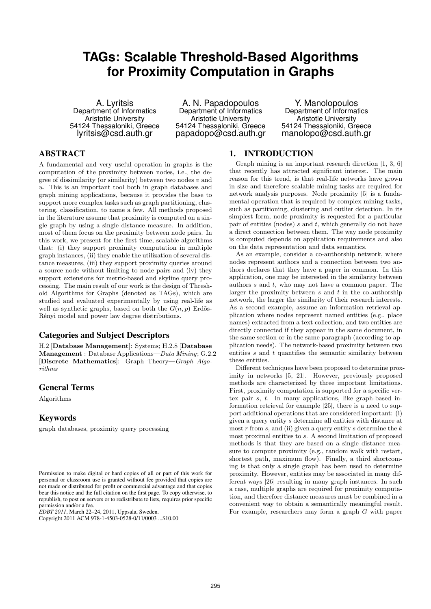# **TAGs: Scalable Threshold-Based Algorithms for Proximity Computation in Graphs**

A. Lyritsis Department of Informatics Aristotle University 54124 Thessaloniki, Greece lyritsis@csd.auth.gr

A. N. Papadopoulos Department of Informatics Aristotle University 54124 Thessaloniki, Greece papadopo@csd.auth.gr

Y. Manolopoulos Department of Informatics Aristotle University 54124 Thessaloniki, Greece manolopo@csd.auth.gr

# ABSTRACT

A fundamental and very useful operation in graphs is the computation of the proximity between nodes, i.e., the degree of dissimilarity (or similarity) between two nodes *v* and *u*. This is an important tool both in graph databases and graph mining applications, because it provides the base to support more complex tasks such as graph partitioning, clustering, classification, to name a few. All methods proposed in the literature assume that proximity is computed on a single graph by using a single distance measure. In addition, most of them focus on the proximity between node pairs. In this work, we present for the first time, scalable algorithms that: (i) they support proximity computation in multiple graph instances, (ii) they enable the utilization of several distance measures, (iii) they support proximity queries around a source node without limiting to node pairs and (iv) they support extensions for metric-based and skyline query processing. The main result of our work is the design of Threshold Algorithms for Graphs (denoted as TAGs), which are studied and evaluated experimentally by using real-life as well as synthetic graphs, based on both the  $G(n, p)$  Erd<sub>o</sub>s-Rényi model and power law degree distributions.

# Categories and Subject Descriptors

H.2 [**Database Management**]: Systems; H.2.8 [**Database Management**]: Database Applications—*Data Mining*; G.2.2 [**Discrete Mathematics**]: Graph Theory—*Graph Algorithms*

# General Terms

Algorithms

# Keywords

graph databases, proximity query processing

*EDBT 2011*, March 22–24, 2011, Uppsala, Sweden.

# 1. INTRODUCTION

Graph mining is an important research direction [1, 3, 6] that recently has attracted significant interest. The main reason for this trend, is that real-life networks have grown in size and therefore scalable mining tasks are required for network analysis purposes. Node proximity [5] is a fundamental operation that is required by complex mining tasks, such as partitioning, clustering and outlier detection. In its simplest form, node proximity is requested for a particular pair of entities (nodes) *s* and *t*, which generally do not have a direct connection between them. The way node proximity is computed depends on application requirements and also on the data representation and data semantics.

As an example, consider a co-authorship network, where nodes represent authors and a connection between two authors declares that they have a paper in common. In this application, one may be interested in the similarity between authors *s* and *t*, who may not have a common paper. The larger the proximity between *s* and *t* in the co-authorship network, the larger the similarity of their research interests. As a second example, assume an information retrieval application where nodes represent named entities (e.g., place names) extracted from a text collection, and two entities are directly connected if they appear in the same document, in the same section or in the same paragraph (according to application needs). The network-based proximity between two entities *s* and *t* quantifies the semantic similarity between these entities.

Different techniques have been proposed to determine proximity in networks [5, 21]. However, previously proposed methods are characterized by three important limitations. First, proximity computation is supported for a specific vertex pair *s*, *t*. In many applications, like graph-based information retrieval for example [25], there is a need to support additional operations that are considered important: (i) given a query entity *s* determine all entities with distance at most *r* from *s*, and (ii) given a query entity *s* determine the *k* most proximal entities to *s*. A second limitation of proposed methods is that they are based on a single distance measure to compute proximity (e.g., random walk with restart, shortest path, maximum flow). Finally, a third shortcoming is that only a single graph has been used to determine proximity. However, entities may be associated in many different ways [26] resulting in many graph instances. In such a case, multiple graphs are required for proximity computation, and therefore distance measures must be combined in a convenient way to obtain a semantically meaningful result. For example, researchers may form a graph *G* with paper

Permission to make digital or hard copies of all or part of this work for personal or classroom use is granted without fee provided that copies are not made or distributed for profit or commercial advantage and that copies bear this notice and the full citation on the first page. To copy otherwise, to republish, to post on servers or to redistribute to lists, requires prior specific permission and/or a fee.

Copyright 2011 ACM 978-1-4503-0528-0/11/0003 ...\$10.00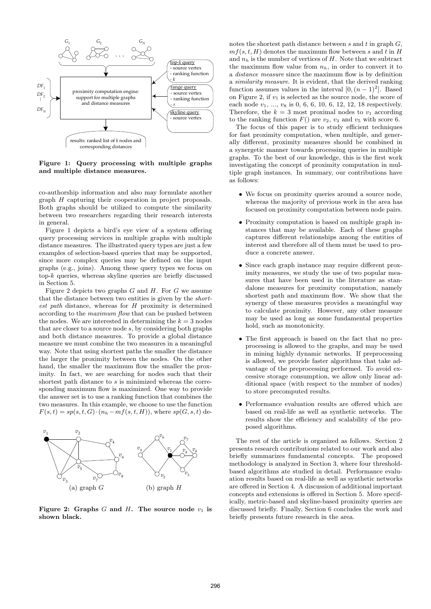

**Figure 1: Query processing with multiple graphs and multiple distance measures.**

co-authorship information and also may formulate another graph *H* capturing their cooperation in project proposals. Both graphs should be utilized to compute the similarity between two researchers regarding their research interests in general.

Figure 1 depicts a bird's eye view of a system offering query processing services in multiple graphs with multiple distance measures. The illustrated query types are just a few examples of selection-based queries that may be supported, since more complex queries may be defined on the input graphs (e.g., joins). Among these query types we focus on top-*k* queries, whereas skyline queries are briefly discussed in Section 5.

Figure 2 depicts two graphs *G* and *H*. For *G* we assume that the distance between two entities is given by the *shortest path* distance, whereas for *H* proximity is determined according to the *maximum flow* that can be pushed between the nodes. We are interested in determining the  $k = 3$  nodes that are closer to a source node *s*, by considering both graphs and both distance measures. To provide a global distance measure we must combine the two measures in a meaningful way. Note that using shortest paths the smaller the distance the larger the proximity between the nodes. On the other hand, the smaller the maximum flow the smaller the proximity. In fact, we are searching for nodes such that their shortest path distance to *s* is minimized whereas the corresponding maximum flow is maximized. One way to provide the answer set is to use a ranking function that combines the two measures. In this example, we choose to use the function  $F(s,t) = sp(s,t,G) \cdot (n_h - mf(s,t,H))$ , where  $sp(G, s, t)$  de-

#### $v_1$  $v_2$ *v*4  $v_{3}$  $\widetilde{v}_5$  $v_7$ <sup>1</sup> *v*<sub>8</sub>  $v_{6}$  $v_1 \nearrow v_2 \searrow v_4$  $v<sub>5</sub>$  $v<sub>2</sub>$  $v_{3}$  $v_6$   $v_7$ *v*<sub>8</sub> (a) graph *G* (b) graph *H*

**Figure 2:** Graphs  $G$  and  $H$ . The source node  $v_1$  is **shown black.**

notes the shortest path distance between *s* and *t* in graph *G*,  $mf(s, t, H)$  denotes the maximum flow between *s* and *t* in *H* and  $n_h$  is the number of vertices of  $H$ . Note that we subtract the maximum flow value from  $n_h$ , in order to convert it to a *distance measure* since the maximum flow is by definition a *similarity measure*. It is evident, that the derived ranking function assumes values in the interval  $[0,(n-1)^2]$ . Based on Figure 2, if *v*<sup>1</sup> is selected as the source node, the score of each node  $v_1, ..., v_8$  is 0, 6, 6, 10, 6, 12, 12, 18 respectively. Therefore, the  $k = 3$  most proximal nodes to  $v_1$  according to the ranking function  $F()$  are  $v_2$ ,  $v_3$  and  $v_5$  with score 6.

The focus of this paper is to study efficient techniques for fast proximity computation, when multiple, and generally different, proximity measures should be combined in a synergetic manner towards processing queries in multiple graphs. To the best of our knowledge, this is the first work investigating the concept of proximity computation in multiple graph instances. In summary, our contributions have as follows:

- We focus on proximity queries around a source node, whereas the majority of previous work in the area has focused on proximity computation between node pairs.
- *•* Proximity computation is based on multiple graph instances that may be available. Each of these graphs captures different relationships among the entities of interest and therefore all of them must be used to produce a concrete answer.
- *•* Since each graph instance may require different proximity measures, we study the use of two popular measures that have been used in the literature as standalone measures for proximity computation, namely shortest path and maximum flow. We show that the synergy of these measures provides a meaningful way to calculate proximity. However, any other measure may be used as long as some fundamental properties hold, such as monotonicity.
- The first approach is based on the fact that no preprocessing is allowed to the graphs, and may be used in mining highly dynamic networks. If preprocessing is allowed, we provide faster algorithms that take advantage of the preprocessing performed. To avoid excessive storage consumption, we allow only linear additional space (with respect to the number of nodes) to store precomputed results.
- *•* Performance evaluation results are offered which are based on real-life as well as synthetic networks. The results show the efficiency and scalability of the proposed algorithms.

The rest of the article is organized as follows. Section 2 presents research contributions related to our work and also briefly summarizes fundamental concepts. The proposed methodology is analyzed in Section 3, where four thresholdbased algorithms ate studied in detail. Performance evaluation results based on real-life as well as synthetic networks are offered in Section 4. A discussion of additional important concepts and extensions is offered in Section 5. More specifically, metric-based and skyline-based proximity queries are discussed briefly. Finally, Section 6 concludes the work and briefly presents future research in the area.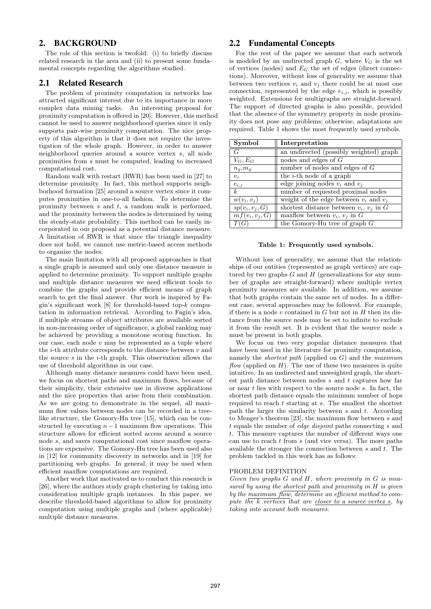# 2. BACKGROUND

The role of this section is twofold: (i) to briefly discuss related research in the area and (ii) to present some fundamental concepts regarding the algorithms studied.

#### 2.1 Related Research

The problem of proximity computation in networks has attracted significant interest due to its importance in more complex data mining tasks. An interesting proposal for proximity computation is offered in [20]. However, this method cannot be used to answer neighborhood queries since it only supports pair-wise proximity computation. The nice property of this algorithm is that it does not require the investigation of the whole graph. However, in order to answer neighborhood queries around a source vertex *s*, all node proximities from *s* must be computed, leading to increased computational cost.

Random walk with restart (RWR) has been used in [27] to determine proximity. In fact, this method supports neighborhood formation [25] around a source vertex since it computes proximities in one-to-all fashion. To determine the proximity between *s* and *t*, a random walk is performed, and the proximity between the nodes is determined by using the steady-state probability. This method can be easily incorporated in our proposal as a potential distance measure. A limitation of RWR is that since the triangle inequality does not hold, we cannot use metric-based access methods to organize the nodes.

The main limitation with all proposed approaches is that a single graph is assumed and only one distance measure is applied to determine proximity. To support multiple graphs and multiple distance measures we need efficient tools to combine the graphs and provide efficient means of graph search to get the final answer. Our work is inspired by Fagin's significant work [8] for threshold-based top-*k* computation in information retrieval. According to Fagin's idea, if multiple streams of object attributes are available sorted in non-increasing order of significance, a global ranking may be achieved by providing a monotone scoring function. In our case, each node *v* may be represented as a tuple where the *i*-th attribute corresponds to the distance between *v* and the source *s* in the *i*-th graph. This observation allows the use of threshold algorithms in our case.

Although many distance measures could have been used, we focus on shortest paths and maximum flows, because of their simplicity, their extensive use in diverse applications and the nice properties that arise from their combination. As we are going to demonstrate in the sequel, all maximum flow values between nodes can be recorded in a treelike structure, the Gomory-Hu tree [15], which can be constructed by executing *n−*1 maximum flow operations. This structure allows for efficient sorted access around a source node *s*, and saves computational cost since maxflow operations are expensive. The Gomory-Hu tree has been used also in [12] for community discovery in networks and in [19] for partitioning web graphs. In general, it may be used when efficient maxflow computations are required.

Another work that motivated us to conduct this research is [26], where the authors study graph clustering by taking into consideration multiple graph instances. In this paper, we describe threshold-based algorithms to allow for proximity computation using multiple graphs and (where applicable) multiple distance measures.

#### 2.2 Fundamental Concepts

For the rest of the paper we assume that each network is modeled by an undirected graph  $G$ , where  $V_G$  is the set of vertices (nodes) and *E<sup>G</sup>* the set of edges (direct connections). Moreover, without loss of generality we assume that between two vertices  $v_i$  and  $v_j$  there could be at most one connection, represented by the edge  $e_{i,j}$ , which is possibly weighted. Extensions for multigraphs are straight-forward. The support of directed graphs is also possible, provided that the absence of the symmetry property in node proximity does not pose any problems; otherwise, adaptations are required. Table 1 shows the most frequently used symbols.

| Symbol            | Interpretation                               |
|-------------------|----------------------------------------------|
| G                 | an undirected (possibly weighted) graph      |
| $V_G, E_G$        | nodes and edges of $G$                       |
| $n_q, m_q$        | number of nodes and edges of $G$             |
| $v_i$             | the $i$ -th node of a graph                  |
| $e_{i,j}$         | edge joining nodes $v_i$ and $v_j$           |
| k <sub>i</sub>    | number of requested proximal nodes           |
| $w(v_i, v_j)$     | weight of the edge between $v_i$ and $v_j$   |
| $sp(v_i, v_j, G)$ | shortest distance between $v_i$ , $v_j$ in G |
| $mf(v_i, v_j, G)$ | maxilow between $v_i, v_j$ in G              |
| T(G)              | the Gomory-Hu tree of graph $G$              |

#### **Table 1: Frequently used symbols.**

Without loss of generality, we assume that the relationships of our entities (represented as graph vertices) are captured by two graphs *G* and *H* (generalizations for any number of graphs are straight-forward) where multiple vertex proximity measures are available. In addition, we assume that both graphs contain the same set of nodes. In a different case, several approaches may be followed. For example, if there is a node *v* contained in *G* but not in *H* then its distance from the source node may be set to infinite to exclude it from the result set. It is evident that the source node *s* must be present in both graphs.

We focus on two very popular distance measures that have been used in the literature for proximity computation, namely the *shortest path* (applied on *G*) and the *maximum flow* (applied on *H*). The use of these two measures is quite intuitive. In an undirected and unweighted graph, the shortest path distance between nodes *s* and *t* captures how far or near *t* lies with respect to the source node *s*. In fact, the shortest path distance equals the minimum number of hops required to reach *t* starting at *s*. The smallest the shortest path the larger the similarity between *s* and *t*. According to Menger's theorem [23], the maximum flow between *s* and *t* equals the number of *edge disjoint* paths connecting *s* and *t*. This measure captures the number of different ways one can use to reach *t* from *s* (and vice versa). The more paths available the stronger the connection between *s* and *t*. The problem tackled in this work has as follows:

#### PROBLEM DEFINITION

*Given two graphs G and H, where proximity in G is measured by using the shortest path and proximity in H is given by the maximum flow, determine an efficient method to compute the k vertices that are closer to a source vertex s, by taking into account both measures.*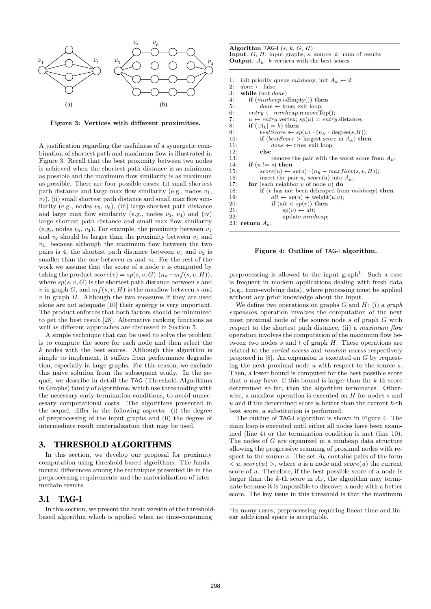

**Figure 3: Vertices with different proximities.**

A justification regarding the usefulness of a synergetic combination of shortest path and maximum flow is illustrated in Figure 3. Recall that the best proximity between two nodes is achieved when the shortest path distance is as minimum as possible and the maximum flow similarity is as maximum as possible. There are four possible cases: (i) small shortest path distance and large max flow similarity (e.g., nodes *v*1,  $v_2$ ), (ii) small shortest path distance and small max flow similarity (e.g., nodes  $v_5$ ,  $v_6$ ), (iii) large shortest path distance and large max flow similarity (e.g., nodes *v*3, *v*4) and (iv) large shortest path distance and small max flow similarity (e.g., nodes  $v_5$ ,  $v_4$ ). For example, the proximity between  $v_1$ and *v*<sup>2</sup> should be larger than the proximity between *v*<sup>3</sup> and  $v_4$ , because although the maximum flow between the two pairs is 4, the shortest path distance between  $v_1$  and  $v_2$  is smaller than the one between  $v_3$  and  $v_4$ . For the rest of the work we assume that the score of a node *v* is computed by taking the product  $score(v) = sp(s, v, G) \cdot (n_h - mf(s, v, H)),$ where *sp*(*s, v, G*) is the shortest path distance between *s* and *v* in graph *G*, and  $mf(s, v, H)$  is the maxflow between *s* and *v* in graph *H*. Although the two measures if they are used alone are not adequate [10] their synergy is very important. The product enforces that both factors should be minimized to get the best result [28]. Alternative ranking functions as well as different approaches are discussed in Section 5.

A simple technique that can be used to solve the problem is to compute the score for each node and then select the *k* nodes with the best scores. Although this algorithm is simple to implement, it suffers from performance degradation, especially in large graphs. For this reason, we exclude this naive solution from the subsequent study. In the sequel, we describe in detail the TAG (Threshold Algorithms in Graphs) family of algorithms, which use thresholding with the necessary early-termination conditions, to avoid unnecessary computational costs. The algorithms presented in the sequel, differ in the following aspects: (i) the degree of preprocessing of the input graphs and (ii) the degree of intermediate result materialization that may be used.

# 3. THRESHOLD ALGORITHMS

In this section, we develop our proposal for proximity computation using threshold-based algorithms. The fundamental differences among the techniques presented lie in the preprocessing requirements and the materialization of intermediate results.

# 3.1 TAG-I

In this section, we present the basic version of the thresholdbased algorithm which is applied when no time-consuming

**Algorithm** TAG-I (*s*, *k*, *G*, *H*) **Input**. *G*, *H*: input graphs, *s*: source, *k*: num of results **Output**.  $A_k$ : *k* vertices with the best scores

| init priority queue <i>minheap</i> ; init $A_k \leftarrow \emptyset$<br>1:     |
|--------------------------------------------------------------------------------|
| 2:<br>$done \leftarrow false$                                                  |
| while (not <i>done</i> )<br>3:                                                 |
| if $(minhcap.isEmpty())$ then<br>4:                                            |
| $done \leftarrow true$ ; exit loop;<br>5:                                      |
| $entry \leftarrow minheap$ .removeTop();<br>6:                                 |
| $u \leftarrow entry \text{.vertex}; sp(u) = entry \text{.distance};$<br>7:     |
| if $( A_k  = k)$ then<br>8:                                                    |
| $bestScore \leftarrow sp(u) \cdot (n_h - degree(s, H));$<br>9:                 |
| <b>if</b> ( <i>bestScore</i> > largest score in $A_k$ ) <b>then</b><br>10:     |
| 11:<br>$done \leftarrow true$ ; exit loop;                                     |
| 12:<br>else                                                                    |
| 13.<br>remove the pair with the worst score from $A_k$ ;                       |
| 14.<br>if $(u \equiv s)$ then                                                  |
| $score(u) \leftarrow sp(u) \cdot (n_h - maxflow(s, v, H));$<br>15:             |
| insert the pair u, score(u) into $A_k$ ;<br>16:                                |
| for (each neighbor $v$ of node $u$ ) do<br>17:                                 |
| <b>if</b> ( <i>v</i> has not been deheaped from $minheap$ ) <b>then</b><br>18: |
| $alt \leftarrow sp(u) + weight(u, v);$<br>19:                                  |
| if $(alt < sp(v))$ then<br>20:                                                 |
| $sp(v) \leftarrow alt;$<br>21:                                                 |
| 22:<br>update <i>minheap</i> ;                                                 |
| 23. return $A_k$ ;                                                             |

**Figure 4: Outline of** TAG-I **algorithm.**

preprocessing is allowed to the input graph<sup>1</sup>. Such a case is frequent in modern applications dealing with fresh data (e.g., time-evolving data), where processing must be applied without any prior knowledge about the input.

We define two operations on graphs *G* and *H*: (i) a *graph expansion* operation involves the computation of the next most proximal node of the source node *s* of graph *G* with respect to the shortest path distance, (ii) a *maximum flow* operation involves the computation of the maximum flow between two nodes *s* and *t* of graph *H*. These operations are related to the *sorted access* and *random access* respectively proposed in [8]. An expansion is executed on *G* by requesting the next proximal node *u* with respect to the source *s*. Then, a lower bound is computed for the best possible score that *u* may have. If this bound is larger than the *k*-th score determined so far, then the algorithm terminates. Otherwise, a maxflow operation is executed on *H* for nodes *s* and *u* and if the determined score is better than the current *k*-th best score, a substitution is performed.

The outline of TAG-I algorithm is shown in Figure 4. The main loop is executed until either all nodes have been examined (line 4) or the termination condition is met (line 10). The nodes of *G* are organized in a minheap data structure allowing the progressive scanning of proximal nodes with respect to the source  $s$ . The set  $A_k$  contains pairs of the form  $\langle u, score(u) \rangle$ , where *u* is a node and *score* $(u)$  the current score of *u*. Therefore, if the best possible score of a node is larger than the  $k$ -th score in  $A_k$ , the algorithm may terminate because it is impossible to discover a node with a better score. The key issue in this threshold is that the maximum

<sup>&</sup>lt;sup>1</sup>In many cases, preprocessing requiring linear time and linear additional space is acceptable.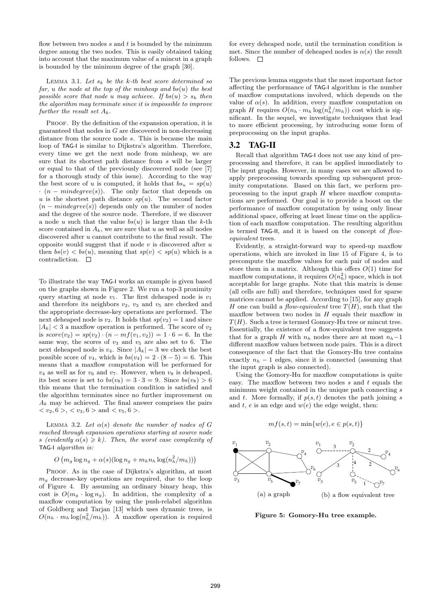flow between two nodes *s* and *t* is bounded by the minimum degree among the two nodes. This is easily obtained taking into account that the maximum value of a mincut in a graph is bounded by the minimum degree of the graph [30].

Lemma 3.1. *Let s<sup>k</sup> be the k-th best score determined so far, u the node at the top of the minheap and bs*(*u*) *the best possible score that node u may achieve.* If  $bs(u) > s_k$  *then the algorithm may terminate since it is impossible to improve further the result set*  $A_k$ *.* 

PROOF. By the definition of the expansion operation, it is guaranteed that nodes in *G* are discovered in non-decreasing distance from the source node *s*. This is because the main loop of TAG-I is similar to Dijkstra's algorithm. Therefore, every time we get the next node from minheap, we are sure that its shortest path distance from *s* will be larger or equal to that of the previously discovered node (see [7] for a thorough study of this issue). According to the way the best score of *u* is computed, it holds that  $bs_u = sp(u)$ *·* (*n − mindegree*(*s*)). The only factor that depends on *u* is the shortest path distance  $sp(u)$ . The second factor (*n − mindegree*(*s*)) depends only on the number of nodes and the degree of the source node. Therefore, if we discover a node *u* such that the value  $bs(u)$  is larger than the *k*-th score contained in  $A_k$ , we are sure that *u* as well as all nodes discovered after *u* cannot contribute to the final result. The opposite would suggest that if node *v* is discovered after *u* then  $bs(v) < bs(u)$ , meaning that  $sp(v) < sp(u)$  which is a contradiction.

To illustrate the way TAG-I works an example is given based on the graphs shown in Figure 2. We run a top-3 proximity query starting at node  $v_1$ . The first deheaped node is  $v_1$ and therefore its neighbors  $v_2$ ,  $v_3$  and  $v_5$  are checked and the appropriate decrease-key operations are performed. The next deheaped node is  $v_2$ . It holds that  $sp(v_2) = 1$  and since  $|A_k|$  < 3 a maxflow operation is performed. The score of  $v_2$ is  $score(v_2) = sp(v_2) \cdot (n - mf(v_1, v_2)) = 1 \cdot 6 = 6$ . In the same way, the scores of *v*<sup>3</sup> and *v*<sup>5</sup> are also set to 6. The next deheaped node is  $v_4$ . Since  $|A_k| = 3$  we check the best possible score of  $v_4$ , which is  $bs(v_4) = 2 \cdot (8 - 5) = 6$ . This means that a maxflow computation will be performed for  $v_4$  as well as for  $v_6$  and  $v_7$ . However, when  $v_8$  is deheaped, its best score is set to  $bs(v_8) = 3 \cdot 3 = 9$ . Since  $bs(v_8) > 6$ this means that the termination condition is satisfied and the algorithm terminates since no further improvement on  $A_k$  may be achieved. The final answer comprises the pairs  $\langle v_2, 6 \rangle, \langle v_3, 6 \rangle$  and  $\langle v_5, 6 \rangle.$ 

LEMMA 3.2. Let  $\alpha(s)$  denote the number of nodes of G *reached through expansion operations starting at source node s* (evidently  $\alpha(s) \geq k$ ). Then, the worst case complexity of TAG-I *algorithm is:*

# $O(m_g \log n_g + \alpha(s)(\log n_g + m_h n_h \log(n_h^2/m_h)))$

PROOF. As in the case of Dijkstra's algorithm, at most  $m_q$  decrease-key operations are required, due to the loop of Figure 4. By assuming an ordinary binary heap, this cost is  $O(m_g \cdot \log n_g)$ . In addition, the complexity of a maxflow computation by using the push-relabel algorithm of Goldberg and Tarjan [13] which uses dynamic trees, is  $O(n_h \cdot m_h \log(n_h^2/m_h))$ . A maxflow operation is required

for every deheaped node, until the termination condition is met. Since the number of deheaped nodes is  $\alpha(s)$  the result follows.  $\square$ 

The previous lemma suggests that the most important factor affecting the performance of TAG-I algorithm is the number of maxflow computations involved, which depends on the value of  $\alpha(s)$ . In addition, every maxflow computation on graph *H* requires  $O(n_h \cdot m_h \log(n_h^2/m_h))$  cost which is significant. In the sequel, we investigate techniques that lead to more efficient processing, by introducing some form of preprocessing on the input graphs.

#### 3.2 TAG-II

Recall that algorithm TAG-I does not use any kind of preprocessing and therefore, it can be applied immediately to the input graphs. However, in many cases we are allowed to apply preprocessing towards speeding up subsequent proximity computations. Based on this fact, we perform preprocessing to the input graph *H* where maxflow computations are performed. Our goal is to provide a boost on the performance of maxflow computation by using only linear additional space, offering at least linear time on the application of each maxflow computation. The resulting algorithm is termed TAG-II, and it is based on the concept of *flowequivalent* trees.

Evidently, a straight-forward way to speed-up maxflow operations, which are invoked in line 15 of Figure 4, is to precompute the maxflow values for each pair of nodes and store them in a matrix. Although this offers *O*(1) time for maxflow computations, it requires  $O(n_h^2)$  space, which is not acceptable for large graphs. Note that this matrix is dense (all cells are full) and therefore, techniques used for sparse matrices cannot be applied. According to [15], for any graph *H* one can build a *flow-equivalent* tree  $T(H)$ , such that the maxflow between two nodes in *H* equals their maxflow in *T*(*H*). Such a tree is termed Gomory-Hu tree or mincut tree. Essentially, the existence of a flow-equivalent tree suggests that for a graph *H* with  $n_h$  nodes there are at most  $n_h-1$ different maxflow values between node pairs. This is a direct consequence of the fact that the Gomory-Hu tree contains exactly  $n_h - 1$  edges, since it is connected (assuming that the input graph is also connected).

Using the Gomory-Hu for maxflow computations is quite easy. The maxflow between two nodes *s* and *t* equals the minimum weight contained in the unique path connecting *s* and *t*. More formally, if *p*(*s, t*) denotes the path joining *s* and  $t$ ,  $e$  is an edge and  $w(e)$  the edge weight, then:

$$
mf(s,t) = \min\{w(e), e \in p(s,t)\}\
$$



**Figure 5: Gomory-Hu tree example.**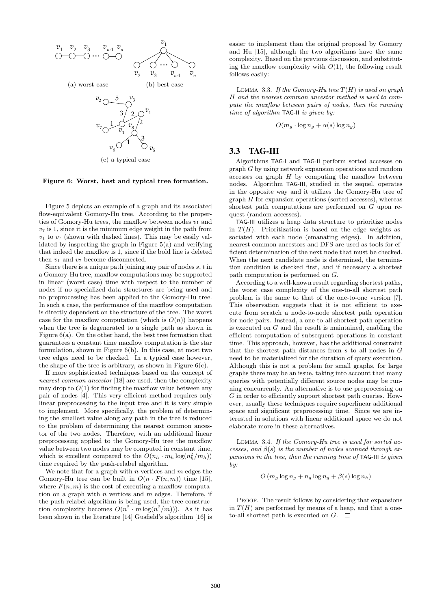

**Figure 6: Worst, best and typical tree formation.**

Figure 5 depicts an example of a graph and its associated flow-equivalent Gomory-Hu tree. According to the properties of Gomory-Hu trees, the maxflow between nodes  $v_1$  and  $v<sub>7</sub>$  is 1, since it is the minimum edge weight in the path from  $v_1$  to  $v_7$  (shown with dashed lines). This may be easily validated by inspecting the graph in Figure 5(a) and verifying that indeed the maxflow is 1, since if the bold line is deleted then  $v_1$  and  $v_7$  become disconnected.

Since there is a unique path joining any pair of nodes *s*, *t* in a Gomory-Hu tree, maxflow computations may be supported in linear (worst case) time with respect to the number of nodes if no specialized data structures are being used and no preprocessing has been applied to the Gomory-Hu tree. In such a case, the performance of the maxflow computation is directly dependent on the structure of the tree. The worst case for the maxflow computation (which is  $O(n)$ ) happens when the tree is degenerated to a single path as shown in Figure 6(a). On the other hand, the best tree formation that guarantees a constant time maxflow computation is the star formulation, shown in Figure 6(b). In this case, at most two tree edges need to be checked. In a typical case however, the shape of the tree is arbitrary, as shown in Figure  $6(c)$ .

If more sophisticated techniques based on the concept of *nearest common ancestor* [18] are used, then the complexity may drop to  $O(1)$  for finding the maxflow value between any pair of nodes [4]. This very efficient method requires only linear preprocessing to the input tree and it is very simple to implement. More specifically, the problem of determining the smallest value along any path in the tree is reduced to the problem of determining the nearest common ancestor of the two nodes. Therefore, with an additional linear preprocessing applied to the Gomory-Hu tree the maxflow value between two nodes may be computed in constant time, which is excellent compared to the  $O(n_h \cdot m_h \log(n_h^2/m_h))$ time required by the push-relabel algorithm.

We note that for a graph with *n* vertices and *m* edges the Gomory-Hu tree can be built in  $O(n \cdot F(n,m))$  time [15], where  $F(n, m)$  is the cost of executing a maxflow computation on a graph with *n* vertices and *m* edges. Therefore, if the push-relabel algorithm is being used, the tree construction complexity becomes  $O(n^2 \cdot m \log(n^2/m))$ ). As it has been shown in the literature [14] Gusfield's algorithm [16] is

easier to implement than the original proposal by Gomory and Hu [15], although the two algorithms have the same complexity. Based on the previous discussion, and substituting the maxflow complexity with  $O(1)$ , the following result follows easily:

Lemma 3.3. *If the Gomory-Hu tree T*(*H*) *is used on graph H and the nearest common ancestor method is used to compute the maxflow between pairs of nodes, then the running time of algorithm* TAG-II *is given by:*

 $O(m_q \cdot \log n_q + \alpha(s) \log n_q)$ 

#### 3.3 TAG-III

Algorithms TAG-I and TAG-II perform sorted accesses on graph *G* by using network expansion operations and random accesses on graph *H* by computing the maxflow between nodes. Algorithm TAG-III, studied in the sequel, operates in the opposite way and it utilizes the Gomory-Hu tree of graph *H* for expansion operations (sorted accesses), whereas shortest path computations are performed on *G* upon request (random accesses).

TAG-III utilizes a heap data structure to prioritize nodes in  $T(H)$ . Prioritization is based on the edge weights associated with each node (emanating edges). In addition, nearest common ancestors and DFS are used as tools for efficient determination of the next node that must be checked. When the next candidate node is determined, the termination condition is checked first, and if necessary a shortest path computation is performed on *G*.

According to a well-known result regarding shortest paths, the worst case complexity of the one-to-all shortest path problem is the same to that of the one-to-one version [7]. This observation suggests that it is not efficient to execute from scratch a node-to-node shortest path operation for node pairs. Instead, a one-to-all shortest path operation is executed on *G* and the result is maintained, enabling the efficient computation of subsequent operations in constant time. This approach, however, has the additional constraint that the shortest path distances from *s* to all nodes in *G* need to be materialized for the duration of query execution. Although this is not a problem for small graphs, for large graphs there may be an issue, taking into account that many queries with potentially different source nodes may be running concurrently. An alternative is to use preprocessing on *G* in order to efficiently support shortest path queries. However, usually these techniques require superlinear additional space and significant preprocessing time. Since we are interested in solutions with linear additional space we do not elaborate more in these alternatives.

Lemma 3.4. *If the Gomory-Hu tree is used for sorted accesses, and β*(*s*) *is the number of nodes scanned through expansions in the tree, then the running time of* TAG-III *is given bu*:

$$
O(m_g \log n_g + n_g \log n_g + \beta(s) \log n_h)
$$

PROOF. The result follows by considering that expansions in  $T(H)$  are performed by means of a heap, and that a oneto-all shortest path is executed on  $G$ .  $\Box$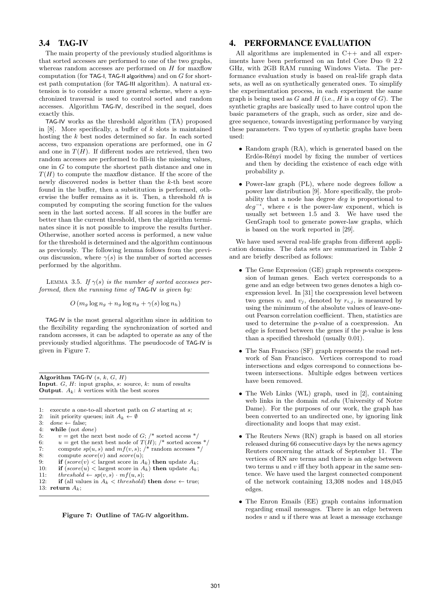# 3.4 TAG-IV

The main property of the previously studied algorithms is that sorted accesses are performed to one of the two graphs, whereas random accesses are performed on *H* for maxflow computation (for TAG-I, TAG-II algorithms) and on *G* for shortest path computation (for TAG-III algorithm). A natural extension is to consider a more general scheme, where a synchronized traversal is used to control sorted and random accesses. Algorithm TAG-IV, described in the sequel, does exactly this.

TAG-IV works as the threshold algorithm (TA) proposed in [8]. More specifically, a buffer of *k* slots is maintained hosting the *k* best nodes determined so far. In each sorted access, two expansion operations are performed, one in *G* and one in  $T(H)$ . If different nodes are retrieved, then two random accesses are performed to fill-in the missing values, one in *G* to compute the shortest path distance and one in  $T(H)$  to compute the maxflow distance. If the score of the newly discovered nodes is better than the *k*-th best score found in the buffer, then a substitution is performed, otherwise the buffer remains as it is. Then, a threshold *th* is computed by computing the scoring function for the values seen in the last sorted access. If all scores in the buffer are better than the current threshold, then the algorithm terminates since it is not possible to improve the results further. Otherwise, another sorted access is performed, a new value for the threshold is determined and the algorithm continuous as previously. The following lemma follows from the previous discussion, where  $\gamma(s)$  is the number of sorted accesses performed by the algorithm.

LEMMA 3.5. *If*  $\gamma(s)$  *is the number of sorted accesses performed, then the running time of* TAG-IV *is given by:*

 $O(m_g \log n_g + n_g \log n_g + \gamma(s) \log n_h)$ 

TAG-IV is the most general algorithm since in addition to the flexibility regarding the synchronization of sorted and random accesses, it can be adapted to operate as any of the previously studied algorithms. The pseudocode of TAG-IV is given in Figure 7.

Algorithm TAG-IV  $(s, k, G, H)$ **Input**. *G*, *H*: input graphs, *s*: source, *k*: num of results **Output**.  $A_k$ : *k* vertices with the best scores

- 1: execute a one-to-all shortest path on *G* starting at *s*;
- 2: init priority queues; init  $A_k \leftarrow \emptyset$ <br>3: done  $\leftarrow$  false:
- 3:  $done \leftarrow false;$ <br>4: while (not do
- 4: **while** (not *done*)
- 5:  $v = \text{get the next best node of } G$ ; /\* sorted access \*/ 6:  $u = \text{get the next best node of } T(H);$  /\* sorted access \*/<br>7: compute  $sp(u, s)$  and  $mf(v, s);$  /\* random accesses \*/ compute  $s p(u, s)$  and  $m f(v, s)$ ;  $\lambda^*$  random accesses  $\lambda$ 8: compute *score*(*v*) and *score*(*u*); 9: **if**  $(score(v) <$  largest score in  $A_k$ ) **then** update  $A_k$ ;<br>10: **if**  $(score(u) <$  largest score in  $A_k$ ) **then** update  $A_k$ ; 10: **if**  $(score(u) <$  largest score in  $A_k$ ) **then** update  $A_k$ ;<br>11: *threshold*  $\leftarrow$  *sp(v, s)*  $\cdot$  *mf(u, s)*: 11:  $threshold \leftarrow sp(v, s) \cdot mf(u, s);$ <br>12: **if** (all values in  $A_i \leq threshold$ if (all values in  $A_k < threshold$ ) then  $done \leftarrow true;$ 13: **return** *Ak*;



# 4. PERFORMANCE EVALUATION

All algorithms are implemented in  $C++$  and all experiments have been performed on an Intel Core Duo @ 2.2 GHz, with 2GB RAM running Windows Vista. The performance evaluation study is based on real-life graph data sets, as well as on synthetically generated ones. To simplify the experimentation process, in each experiment the same graph is being used as  $G$  and  $H$  (i.e.,  $H$  is a copy of  $G$ ). The synthetic graphs are basically used to have control upon the basic parameters of the graph, such as order, size and degree sequence, towards investigating performance by varying these parameters. Two types of synthetic graphs have been used:

- Random graph (RA), which is generated based on the Erdős-Rényi model by fixing the number of vertices and then by deciding the existence of each edge with probability *p*.
- Power-law graph (PL), where node degrees follow a power law distribution [9]. More specifically, the probability that a node has degree *deg* is proportional to *deg−<sup>ϵ</sup>* , where *ϵ* is the power-law exponent, which is usually set between 1.5 and 3. We have used the GenGraph tool to generate power-law graphs, which is based on the work reported in [29].

We have used several real-life graphs from different application domains. The data sets are summarized in Table 2 and are briefly described as follows:

- The Gene Expression (GE) graph represents coexpression of human genes. Each vertex corresponds to a gene and an edge between two genes denotes a high coexpression level. In [31] the coexpression level between two genes  $v_i$  and  $v_j$ , denoted by  $r_{i,j}$ , is measured by using the minimum of the absolute values of leave-oneout Pearson correlation coefficient. Then, statistics are used to determine the *p*-value of a coexpression. An edge is formed between the genes if the *p*-value is less than a specified threshold (usually 0.01).
- *•* The San Francisco (SF) graph represents the road network of San Francisco. Vertices correspond to road intersections and edges correspond to connections between intersections. Multiple edges between vertices have been removed.
- *•* The Web Links (WL) graph, used in [2], containing web links in the domain *nd.edu* (University of Notre Dame). For the purposes of our work, the graph has been converted to an undirected one, by ignoring link directionality and loops that may exist.
- The Reuters News (RN) graph is based on all stories released during 66 consecutive days by the news agency Reuters concerning the attack of September 11. The vertices of RN are terms and there is an edge between two terms *u* and *v* iff they both appear in the same sentence. We have used the largest connected component of the network containing 13,308 nodes and 148,045 edges.
- *•* The Enron Emails (EE) graph contains information regarding email messages. There is an edge between nodes *v* and *u* if there was at least a message exchange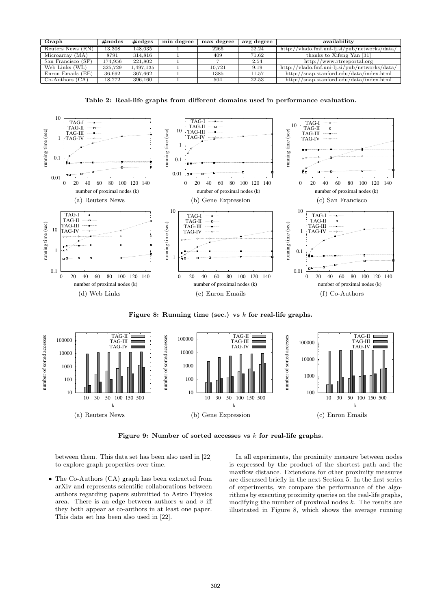| Graph              | $\#$ nodes | $\#$ edges | min degree | max degree    | avg degree | availability                                       |  |
|--------------------|------------|------------|------------|---------------|------------|----------------------------------------------------|--|
| Reuters News (RN)  | 13.308     | 148.035    |            | 22.24<br>2265 |            | http://vlado.fmf.uni-lj.si/pub/networks/data/      |  |
| Microarray (MA)    | 8791       | 314.816    |            | 409           | 71.62      | thanks to Xifeng Yan [31]                          |  |
| San Francisco (SF) | 174.956    | 221.802    |            |               | 2.54       | http://www.rtreeportal.org                         |  |
| Web Links (WL)     | 325.729    | 1.497.135  |            | 10.721        | 9.19       | $http://vlado.fmf.uni-lj.si/public/networks/data/$ |  |
| Enron Emails (EE)  | 36.692     | 367.662    |            | 1385          | 11.57      | http://snap.stanford.edu/data/index.html           |  |
| $Co-Authors (CA)$  | 18.772     | 396.160    |            | 504           | 22.53      | http://snap.stanford.edu/data/index.html           |  |

**Table 2: Real-life graphs from different domains used in performance evaluation.**



**Figure 8: Running time (sec.) vs** *k* **for real-life graphs.**



**Figure 9: Number of sorted accesses vs** *k* **for real-life graphs.**

between them. This data set has been also used in [22] to explore graph properties over time.

*•* The Co-Authors (CA) graph has been extracted from arXiv and represents scientific collaborations between authors regarding papers submitted to Astro Physics area. There is an edge between authors *u* and *v* iff they both appear as co-authors in at least one paper. This data set has been also used in [22].

In all experiments, the proximity measure between nodes is expressed by the product of the shortest path and the maxflow distance. Extensions for other proximity measures are discussed briefly in the next Section 5. In the first series of experiments, we compare the performance of the algorithms by executing proximity queries on the real-life graphs, modifying the number of proximal nodes *k*. The results are illustrated in Figure 8, which shows the average running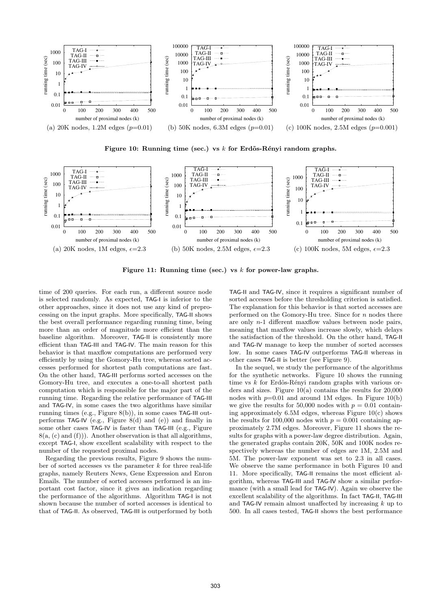

Figure 10: Running time (sec.) vs *k* for Erdős-Rényi random graphs.



**Figure 11: Running time (sec.) vs** *k* **for power-law graphs.**

time of 200 queries. For each run, a different source node is selected randomly. As expected, TAG-I is inferior to the other approaches, since it does not use any kind of preprocessing on the input graphs. More specifically, TAG-II shows the best overall performance regarding running time, being more than an order of magnitude more efficient than the baseline algorithm. Moreover, TAG-II is consistently more efficient than TAG-III and TAG-IV. The main reason for this behavior is that maxflow computations are performed very efficiently by using the Gomory-Hu tree, whereas sorted accesses performed for shortest path computations are fast. On the other hand, TAG-III performs sorted accesses on the Gomory-Hu tree, and executes a one-to-all shortest path computation which is responsible for the major part of the running time. Regarding the relative performance of TAG-III and TAG-IV, in some cases the two algorithms have similar running times (e.g., Figure 8(b)), in some cases TAG-III outperforms TAG-IV (e.g., Figure 8(d) and (e)) and finally in some other cases TAG-IV is faster than TAG-III (e.g., Figure  $8(a, (c)$  and  $(f))$ ). Another observation is that all algorithms, except TAG-I, show excellent scalability with respect to the number of the requested proximal nodes.

Regarding the previous results, Figure 9 shows the number of sorted accesses vs the parameter *k* for three real-life graphs, namely Reuters News, Gene Expression and Enron Emails. The number of sorted accesses performed is an important cost factor, since it gives an indication regarding the performance of the algorithms. Algorithm TAG-I is not shown because the number of sorted accesses is identical to that of TAG-II. As observed, TAG-III is outperformed by both

TAG-II and TAG-IV, since it requires a significant number of sorted accesses before the thresholding criterion is satisfied. The explanation for this behavior is that sorted accesses are performed on the Gomory-Hu tree. Since for *n* nodes there are only *n*-1 different maxflow values between node pairs, meaning that maxflow values increase slowly, which delays the satisfaction of the threshold. On the other hand, TAG-II and TAG-IV manage to keep the number of sorted accesses low. In some cases TAG-IV outperforms TAG-II whereas in other cases TAG-II is better (see Figure 9).

In the sequel, we study the performance of the algorithms for the synthetic networks. Figure 10 shows the running time vs *k* for Erdős-Rényi random graphs with various orders and sizes. Figure 10(a) contains the results for 20,000 nodes with  $p=0.01$  and around 1M edges. In Figure 10(b) we give the results for 50,000 nodes with  $p = 0.01$  containing approximately 6.5M edges, whereas Figure 10(c) shows the results for 100,000 nodes with  $p = 0.001$  containing approximately 2.7M edges. Moreover, Figure 11 shows the results for graphs with a power-law degree distribution. Again, the generated graphs contain 20K, 50K and 100K nodes respectively whereas the number of edges are 1M, 2.5M and 5M. The power-law exponent was set to 2.3 in all cases. We observe the same performance in both Figures 10 and 11. More specifically, TAG-II remains the most efficient algorithm, whereas TAG-III and TAG-IV show a similar performance (with a small lead for TAG-IV). Again we observe the excellent scalability of the algorithms. In fact TAG-II, TAG-III and TAG-IV remain almost unaffected by increasing *k* up to 500. In all cases tested, TAG-II shows the best performance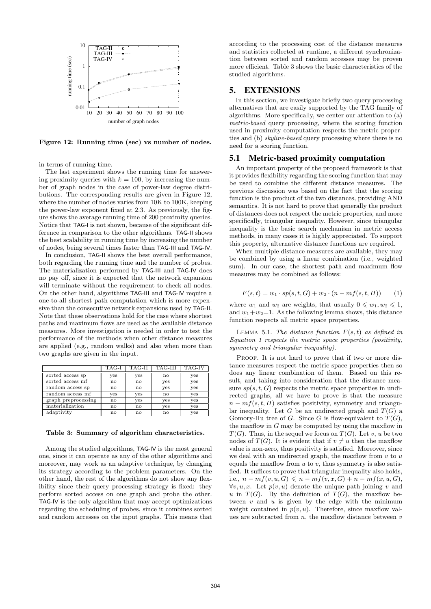

**Figure 12: Running time (sec) vs number of nodes.**

in terms of running time.

The last experiment shows the running time for answering proximity queries with  $k = 100$ , by increasing the number of graph nodes in the case of power-law degree distributions. The corresponding results are given in Figure 12, where the number of nodes varies from 10K to 100K, keeping the power-law exponent fixed at 2.3. As previously, the figure shows the average running time of 200 proximity queries. Notice that TAG-I is not shown, because of the significant difference in comparison to the other algorithms. TAG-II shows the best scalability in running time by increasing the number of nodes, being several times faster than TAG-III and TAG-IV.

In conclusion, TAG-II shows the best overall performance, both regarding the running time and the number of probes. The materialization performed by TAG-III and TAG-IV does no pay off, since it is expected that the network expansion will terminate without the requirement to check all nodes. On the other hand, algorithms TAG-III and TAG-IV require a one-to-all shortest path computation which is more expensive than the consecutive network expansions used by TAG-II. Note that these observations hold for the case where shortest paths and maximum flows are used as the available distance measures. More investigation is needed in order to test the performance of the methods when other distance measures are applied (e.g., random walks) and also when more than two graphs are given in the input.

|                     | TAG-I         | TAG-II       | TAG-III      | TAG-IV |
|---------------------|---------------|--------------|--------------|--------|
| sorted access sp    | yes           | yes          | $\mathbf{n}$ | yes    |
| sorted access mf    | $\mathbf{n}$  | $\mathbf{n}$ | yes          | yes    |
| random access sp    | no            | $\mathbf{n}$ | yes          | yes    |
| random access mf    | yes           | yes          | $\mathbf{n}$ | yes    |
| graph preprocessing | $\mathbf{no}$ | yes          | yes          | yes    |
| materialization     | $\mathbf{no}$ | $\mathbf{n}$ | yes          | yes    |
| adaptivity          | $\mathbf{n}$  | $\mathbf{n}$ | $\mathbf{n}$ | yes    |

#### **Table 3: Summary of algorithm characteristics.**

Among the studied algorithms, TAG-IV is the most general one, since it can operate as any of the other algorithms and moreover, may work as an adaptive technique, by changing its strategy according to the problem parameters. On the other hand, the rest of the algorithms do not show any flexibility since their query processing strategy is fixed: they perform sorted access on one graph and probe the other. TAG-IV is the only algorithm that may accept optimizations regarding the scheduling of probes, since it combines sorted and random accesses on the input graphs. This means that

according to the processing cost of the distance measures and statistics collected at runtime, a different synchronization between sorted and random accesses may be proven more efficient. Table 3 shows the basic characteristics of the studied algorithms.

#### 5. EXTENSIONS

In this section, we investigate briefly two query processing alternatives that are easily supported by the TAG family of algorithms. More specifically, we center our attention to (a) *metric-based* query processing, where the scoring function used in proximity computation respects the metric properties and (b) *skyline-based* query processing where there is no need for a scoring function.

#### 5.1 Metric-based proximity computation

An important property of the proposed framework is that it provides flexibility regarding the scoring function that may be used to combine the different distance measures. The previous discussion was based on the fact that the scoring function is the product of the two distances, providing AND semantics. It is not hard to prove that generally the product of distances does not respect the metric properties, and more specifically, triangular inequality. However, since triangular inequality is the basic search mechanism in metric access methods, in many cases it is highly appreciated. To support this property, alternative distance functions are required.

When multiple distance measures are available, they may be combined by using a linear combination (i.e., weighted sum). In our case, the shortest path and maximum flow measures may be combined as follows:

$$
F(s,t) = w_1 \cdot sp(s,t,G) + w_2 \cdot (n - mf(s,t,H)) \tag{1}
$$

where  $w_1$  and  $w_2$  are weights, that usually  $0 \leq w_1, w_2 \leq 1$ , and  $w_1 + w_2 = 1$ . As the following lemma shows, this distance function respects all metric space properties.

LEMMA 5.1. *The distance function*  $F(s,t)$  *as defined in Equation 1 respects the metric space properties (positivity, symmetry and triangular inequality).*

PROOF. It is not hard to prove that if two or more distance measures respect the metric space properties then so does any linear combination of them. Based on this result, and taking into consideration that the distance measure  $sp(s, t, G)$  respects the metric space properties in undirected graphs, all we have to prove is that the measure  $n - mf(s, t, H)$  satisfies positivity, symmetry and triangular inequality. Let *G* be an undirected graph and  $T(G)$  a Gomory-Hu tree of *G*. Since *G* is flow-equivalent to  $T(G)$ , the maxflow in *G* may be computed by using the maxflow in *T*(*G*). Thus, in the sequel we focus on *T*(*G*). Let *v*, *u* be two nodes of  $T(G)$ . It is evident that if  $v \neq u$  then the maxflow value is non-zero, thus positivity is satisfied. Moreover, since we deal with an undirected graph, the maxflow from *v* to *u* equals the maxflow from *u* to *v*, thus symmetry is also satisfied. It suffices to prove that triangular inequality also holds, i.e.,  $n - mf(v, u, G)$  ≤  $n - mf(v, x, G) + n - mf(x, u, G)$ , *∀v, u, x*. Let *p*(*v, u*) denote the unique path joining *v* and *u* in  $T(G)$ . By the definition of  $T(G)$ , the maxflow between *v* and *u* is given by the edge with the minimum weight contained in  $p(v, u)$ . Therefore, since maxflow values are subtracted from *n*, the maxflow distance between *v*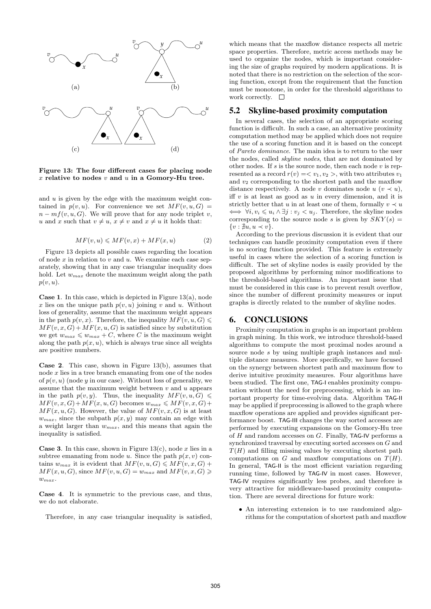

**Figure 13: The four different cases for placing node** *x* **relative to nodes** *v* **and** *u* **in a Gomory-Hu tree.**

and *u* is given by the edge with the maximum weight contained in  $p(v, u)$ . For convenience we set  $MF(v, u, G)$  =  $n - mf(v, u, G)$ . We will prove that for any node triplet *v*, *u* and *x* such that  $v \neq u, x \neq v$  and  $x \neq u$  it holds that:

$$
MF(v, u) \leqslant MF(v, x) + MF(x, u)
$$
\n<sup>(2)</sup>

Figure 13 depicts all possible cases regarding the location of node *x* in relation to *v* and *u*. We examine each case separately, showing that in any case triangular inequality does hold. Let *wmax* denote the maximum weight along the path *p*(*v, u*).

**Case 1**. In this case, which is depicted in Figure 13(a), node x lies on the unique path  $p(v, u)$  joining v and u. Without loss of generality, assume that the maximum weight appears in the path  $p(v, x)$ . Therefore, the inequality  $MF(v, u, G) \leq$  $MF(v, x, G) + MF(x, u, G)$  is satisfied since by substitution we get  $w_{max} \leq w_{max} + C$ , where *C* is the maximum weight along the path  $p(x, u)$ , which is always true since all weights are positive numbers.

**Case 2**. This case, shown in Figure 13(b), assumes that node *x* lies in a tree branch emanating from one of the nodes of  $p(v, u)$  (node *y* in our case). Without loss of generality, we assume that the maximum weight between *v* and *u* appears in the path  $p(v, y)$ . Thus, the inequality  $MF(v, u, G) \leq$  $MF(v, x, G) + MF(x, u, G)$  becomes  $w_{max} \leq M F(v, x, G) +$  $MF(x, u, G)$ . However, the value of  $MF(v, x, G)$  is at least  $w_{max}$ , since the subpath  $p(x, y)$  may contain an edge with a weight larger than *wmax*, and this means that again the inequality is satisfied.

**Case 3**. In this case, shown in Figure 13(c), node *x* lies in a subtree emanating from node *u*. Since the path  $p(x, v)$  contains  $w_{max}$  it is evident that  $MF(v, u, G) \leq M F(v, x, G) +$  $MF(x, u, G)$ , since  $MF(v, u, G) = w_{max}$  and  $MF(v, x, G) \geq$ *wmax*.

**Case 4**. It is symmetric to the previous case, and thus, we do not elaborate.

Therefore, in any case triangular inequality is satisfied,

which means that the maxflow distance respects all metric space properties. Therefore, metric access methods may be used to organize the nodes, which is important considering the size of graphs required by modern applications. It is noted that there is no restriction on the selection of the scoring function, except from the requirement that the function must be monotone, in order for the threshold algorithms to work correctly.  $\square$ 

#### 5.2 Skyline-based proximity computation

In several cases, the selection of an appropriate scoring function is difficult. In such a case, an alternative proximity computation method may be applied which does not require the use of a scoring function and it is based on the concept of *Pareto dominance*. The main idea is to return to the user the nodes, called *skyline nodes*, that are not dominated by other nodes. If *s* is the source node, then each node *v* is represented as a record  $r(v) = \langle v_1, v_2 \rangle$ , with two attributes  $v_1$ and *v*<sup>2</sup> corresponding to the shortest path and the maxflow distance respectively. A node *v* dominates node  $u$  ( $v \prec u$ ), iff *v* is at least as good as *u* in every dimension, and it is strictly better that *u* in at least one of them, formally  $v \prec u$  $\Leftrightarrow \forall i, v_i \leq u_i \land \exists j : v_j < u_j$ . Therefore, the skyline nodes corresponding to the source node *s* is given by  $SKY(s) =$  $\{v : \nexists u, u \prec v\}.$ 

According to the previous discussion it is evident that our techniques can handle proximity computation even if there is no scoring function provided. This feature is extremely useful in cases where the selection of a scoring function is difficult. The set of skyline nodes is easily provided by the proposed algorithms by performing minor modifications to the threshold-based algorithms. An important issue that must be considered in this case is to prevent result overflow, since the number of different proximity measures or input graphs is directly related to the number of skyline nodes.

#### 6. CONCLUSIONS

Proximity computation in graphs is an important problem in graph mining. In this work, we introduce threshold-based algorithms to compute the most proximal nodes around a source node *s* by using multiple graph instances and multiple distance measures. More specifically, we have focused on the synergy between shortest path and maximum flow to derive intuitive proximity measures. Four algorithms have been studied. The first one, TAG-I enables proximity computation without the need for preprocessing, which is an important property for time-evolving data. Algorithm TAG-II may be applied if preprocessing is allowed to the graph where maxflow operations are applied and provides significant performance boost. TAG-III changes the way sorted accesses are performed by executing expansions on the Gomory-Hu tree of *H* and random accesses on *G*. Finally, TAG-IV performs a synchronized traversal by executing sorted accesses on *G* and *T*(*H*) and filling missing values by executing shortest path computations on *G* and maxflow computations on  $T(H)$ . In general, TAG-II is the most efficient variation regarding running time, followed by TAG-IV in most cases. However, TAG-IV requires significantly less probes, and therefore is very attractive for middleware-based proximity computation. There are several directions for future work:

• An interesting extension is to use randomized algorithms for the computation of shortest path and maxflow